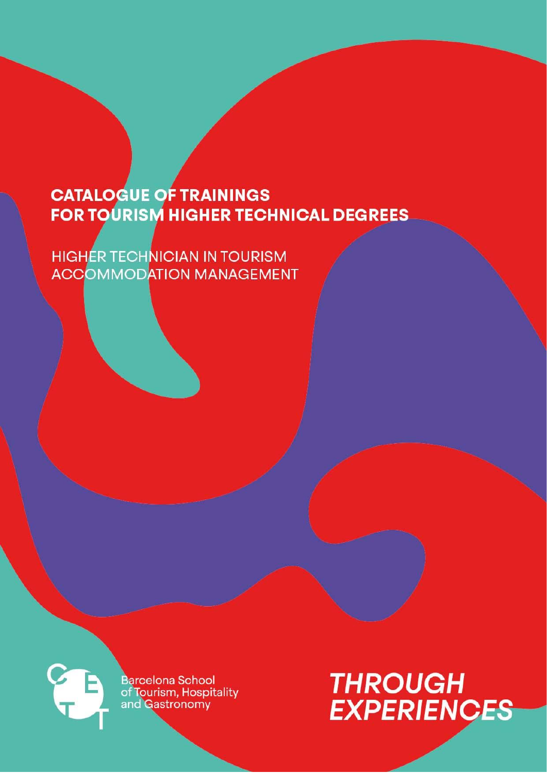**HIGHER TECHNICIAN IN TOURISM ACCOMMODATION MANAGEMENT** 



**Barcelona School** of Tourism, Hospitality<br>and Gastronomy

# **THROUGH EXPERIENCES**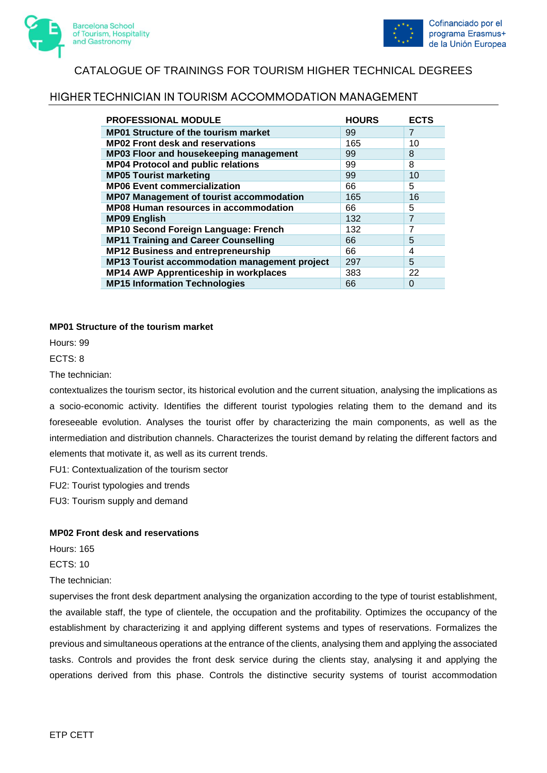



### HIGHER TECHNICIAN IN TOURISM ACCOMMODATION MANAGEMENT

| <b>PROFESSIONAL MODULE</b>                      | <b>HOURS</b> | <b>ECTS</b>    |
|-------------------------------------------------|--------------|----------------|
| <b>MP01 Structure of the tourism market</b>     | 99           | 7              |
| <b>MP02 Front desk and reservations</b>         | 165          | 10             |
| MP03 Floor and housekeeping management          | 99           | 8              |
| <b>MP04 Protocol and public relations</b>       | 99           | 8              |
| <b>MP05 Tourist marketing</b>                   | 99           | 10             |
| <b>MP06 Event commercialization</b>             | 66           | 5              |
| <b>MP07 Management of tourist accommodation</b> | 165          | 16             |
| <b>MP08 Human resources in accommodation</b>    | 66           | 5              |
| <b>MP09 English</b>                             | 132          | $\overline{7}$ |
| <b>MP10 Second Foreign Language: French</b>     | 132          | 7              |
| <b>MP11 Training and Career Counselling</b>     | 66           | 5              |
| MP12 Business and entrepreneurship              | 66           | 4              |
| MP13 Tourist accommodation management project   | 297          | 5              |
| <b>MP14 AWP Apprenticeship in workplaces</b>    | 383          | 22             |
| <b>MP15 Information Technologies</b>            | 66           | $\Omega$       |

#### **MP01 Structure of the tourism market**

Hours: 99

ECTS: 8

The technician:

contextualizes the tourism sector, its historical evolution and the current situation, analysing the implications as a socio-economic activity. Identifies the different tourist typologies relating them to the demand and its foreseeable evolution. Analyses the tourist offer by characterizing the main components, as well as the intermediation and distribution channels. Characterizes the tourist demand by relating the different factors and elements that motivate it, as well as its current trends.

FU1: Contextualization of the tourism sector

FU2: Tourist typologies and trends

FU3: Tourism supply and demand

#### **MP02 Front desk and reservations**

Hours: 165

ECTS: 10

The technician:

supervises the front desk department analysing the organization according to the type of tourist establishment, the available staff, the type of clientele, the occupation and the profitability. Optimizes the occupancy of the establishment by characterizing it and applying different systems and types of reservations. Formalizes the previous and simultaneous operations at the entrance of the clients, analysing them and applying the associated tasks. Controls and provides the front desk service during the clients stay, analysing it and applying the operations derived from this phase. Controls the distinctive security systems of tourist accommodation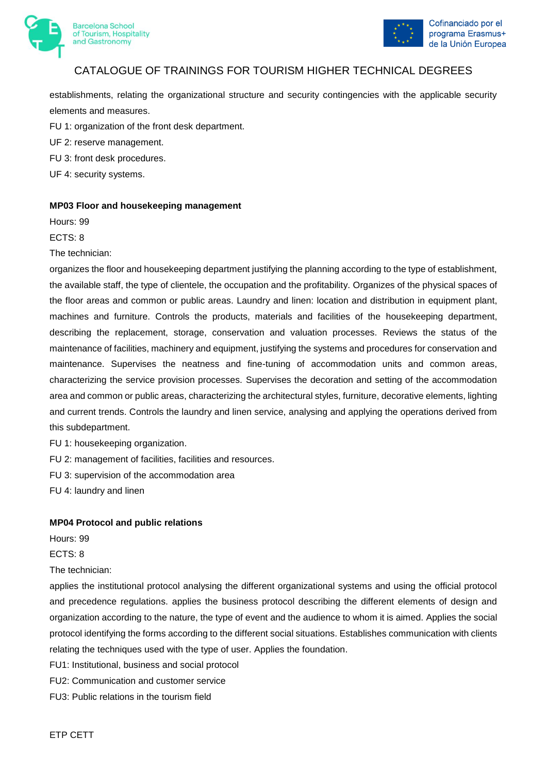



establishments, relating the organizational structure and security contingencies with the applicable security elements and measures.

FU 1: organization of the front desk department.

UF 2: reserve management.

- FU 3: front desk procedures.
- UF 4: security systems.

#### **MP03 Floor and housekeeping management**

Hours: 99

ECTS: 8

The technician:

organizes the floor and housekeeping department justifying the planning according to the type of establishment, the available staff, the type of clientele, the occupation and the profitability. Organizes of the physical spaces of the floor areas and common or public areas. Laundry and linen: location and distribution in equipment plant, machines and furniture. Controls the products, materials and facilities of the housekeeping department, describing the replacement, storage, conservation and valuation processes. Reviews the status of the maintenance of facilities, machinery and equipment, justifying the systems and procedures for conservation and maintenance. Supervises the neatness and fine-tuning of accommodation units and common areas, characterizing the service provision processes. Supervises the decoration and setting of the accommodation area and common or public areas, characterizing the architectural styles, furniture, decorative elements, lighting and current trends. Controls the laundry and linen service, analysing and applying the operations derived from this subdepartment.

FU 1: housekeeping organization.

FU 2: management of facilities, facilities and resources.

FU 3: supervision of the accommodation area

FU 4: laundry and linen

#### **MP04 Protocol and public relations**

Hours: 99

ECTS: 8

The technician:

applies the institutional protocol analysing the different organizational systems and using the official protocol and precedence regulations. applies the business protocol describing the different elements of design and organization according to the nature, the type of event and the audience to whom it is aimed. Applies the social protocol identifying the forms according to the different social situations. Establishes communication with clients relating the techniques used with the type of user. Applies the foundation.

- FU1: Institutional, business and social protocol
- FU2: Communication and customer service
- FU3: Public relations in the tourism field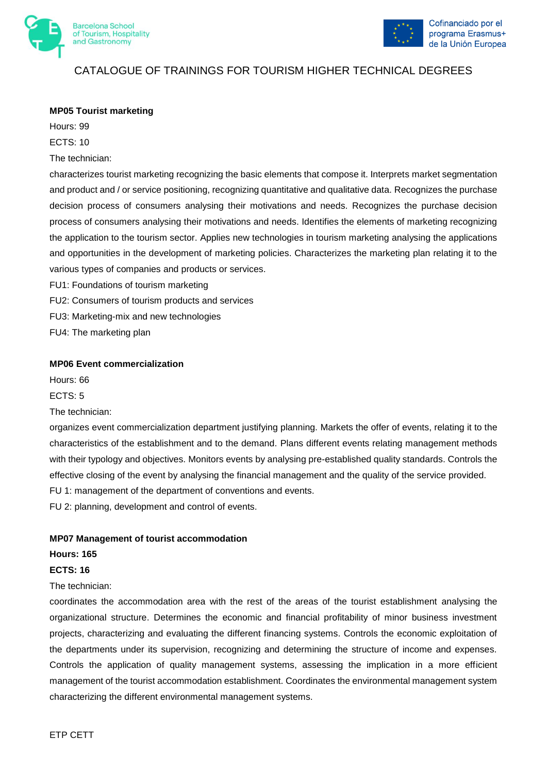



#### **MP05 Tourist marketing**

Hours: 99 ECTS: 10

The technician:

characterizes tourist marketing recognizing the basic elements that compose it. Interprets market segmentation and product and / or service positioning, recognizing quantitative and qualitative data. Recognizes the purchase decision process of consumers analysing their motivations and needs. Recognizes the purchase decision process of consumers analysing their motivations and needs. Identifies the elements of marketing recognizing the application to the tourism sector. Applies new technologies in tourism marketing analysing the applications and opportunities in the development of marketing policies. Characterizes the marketing plan relating it to the various types of companies and products or services.

FU1: Foundations of tourism marketing

FU2: Consumers of tourism products and services

FU3: Marketing-mix and new technologies

FU4: The marketing plan

#### **MP06 Event commercialization**

Hours: 66

ECTS: 5

The technician:

organizes event commercialization department justifying planning. Markets the offer of events, relating it to the characteristics of the establishment and to the demand. Plans different events relating management methods with their typology and objectives. Monitors events by analysing pre-established quality standards. Controls the effective closing of the event by analysing the financial management and the quality of the service provided. FU 1: management of the department of conventions and events.

FU 2: planning, development and control of events.

#### **MP07 Management of tourist accommodation**

#### **Hours: 165**

#### **ECTS: 16**

#### The technician:

coordinates the accommodation area with the rest of the areas of the tourist establishment analysing the organizational structure. Determines the economic and financial profitability of minor business investment projects, characterizing and evaluating the different financing systems. Controls the economic exploitation of the departments under its supervision, recognizing and determining the structure of income and expenses. Controls the application of quality management systems, assessing the implication in a more efficient management of the tourist accommodation establishment. Coordinates the environmental management system characterizing the different environmental management systems.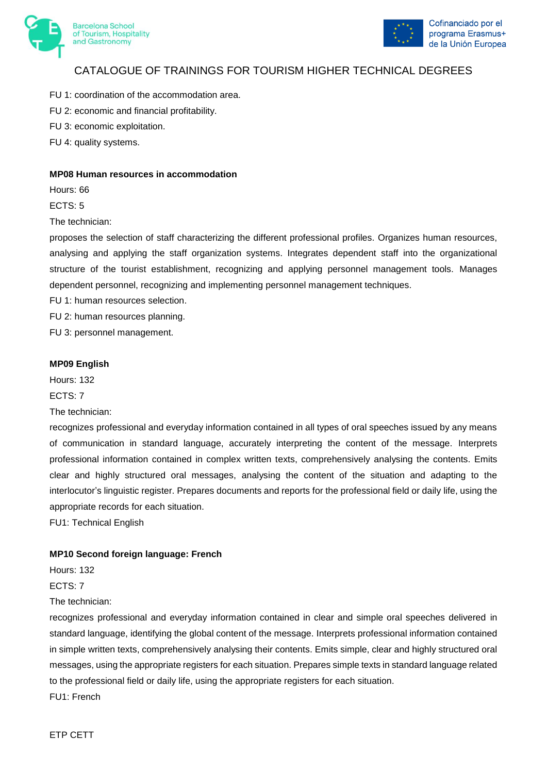



- FU 1: coordination of the accommodation area.
- FU 2: economic and financial profitability.
- FU 3: economic exploitation.
- FU 4: quality systems.

#### **MP08 Human resources in accommodation**

Hours: 66

ECTS: 5

The technician:

proposes the selection of staff characterizing the different professional profiles. Organizes human resources, analysing and applying the staff organization systems. Integrates dependent staff into the organizational structure of the tourist establishment, recognizing and applying personnel management tools. Manages dependent personnel, recognizing and implementing personnel management techniques.

FU 1: human resources selection.

FU 2: human resources planning.

FU 3: personnel management.

#### **MP09 English**

Hours: 132

ECTS: 7

The technician:

recognizes professional and everyday information contained in all types of oral speeches issued by any means of communication in standard language, accurately interpreting the content of the message. Interprets professional information contained in complex written texts, comprehensively analysing the contents. Emits clear and highly structured oral messages, analysing the content of the situation and adapting to the interlocutor's linguistic register. Prepares documents and reports for the professional field or daily life, using the appropriate records for each situation.

FU1: Technical English

#### **MP10 Second foreign language: French**

Hours: 132

ECTS: 7

The technician:

recognizes professional and everyday information contained in clear and simple oral speeches delivered in standard language, identifying the global content of the message. Interprets professional information contained in simple written texts, comprehensively analysing their contents. Emits simple, clear and highly structured oral messages, using the appropriate registers for each situation. Prepares simple texts in standard language related to the professional field or daily life, using the appropriate registers for each situation.

FU1: French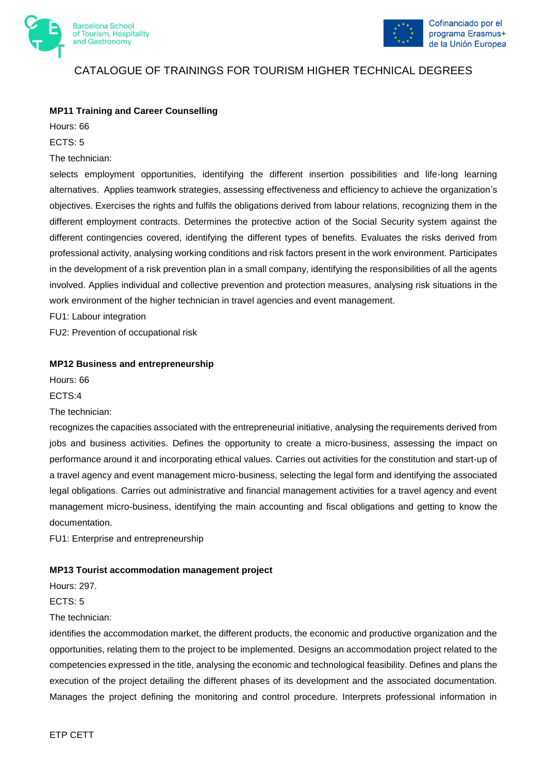



#### **MP11 Training and Career Counselling**

Hours: 66 ECTS: 5 The technician:

selects employment opportunities, identifying the different insertion possibilities and life-long learning alternatives. Applies teamwork strategies, assessing effectiveness and efficiency to achieve the organization's objectives. Exercises the rights and fulfils the obligations derived from labour relations, recognizing them in the different employment contracts. Determines the protective action of the Social Security system against the different contingencies covered, identifying the different types of benefits. Evaluates the risks derived from professional activity, analysing working conditions and risk factors present in the work environment. Participates in the development of a risk prevention plan in a small company, identifying the responsibilities of all the agents involved. Applies individual and collective prevention and protection measures, analysing risk situations in the work environment of the higher technician in travel agencies and event management.

FU1: Labour integration

FU2: Prevention of occupational risk

#### **MP12 Business and entrepreneurship**

Hours: 66

ECTS:4

The technician:

recognizes the capacities associated with the entrepreneurial initiative, analysing the requirements derived from jobs and business activities. Defines the opportunity to create a micro-business, assessing the impact on performance around it and incorporating ethical values. Carries out activities for the constitution and start-up of a travel agency and event management micro-business, selecting the legal form and identifying the associated legal obligations. Carries out administrative and financial management activities for a travel agency and event management micro-business, identifying the main accounting and fiscal obligations and getting to know the documentation.

FU1: Enterprise and entrepreneurship

#### **MP13 Tourist accommodation management project**

Hours: 297.

ECTS: 5

The technician:

identifies the accommodation market, the different products, the economic and productive organization and the opportunities, relating them to the project to be implemented. Designs an accommodation project related to the competencies expressed in the title, analysing the economic and technological feasibility. Defines and plans the execution of the project detailing the different phases of its development and the associated documentation. Manages the project defining the monitoring and control procedure. Interprets professional information in